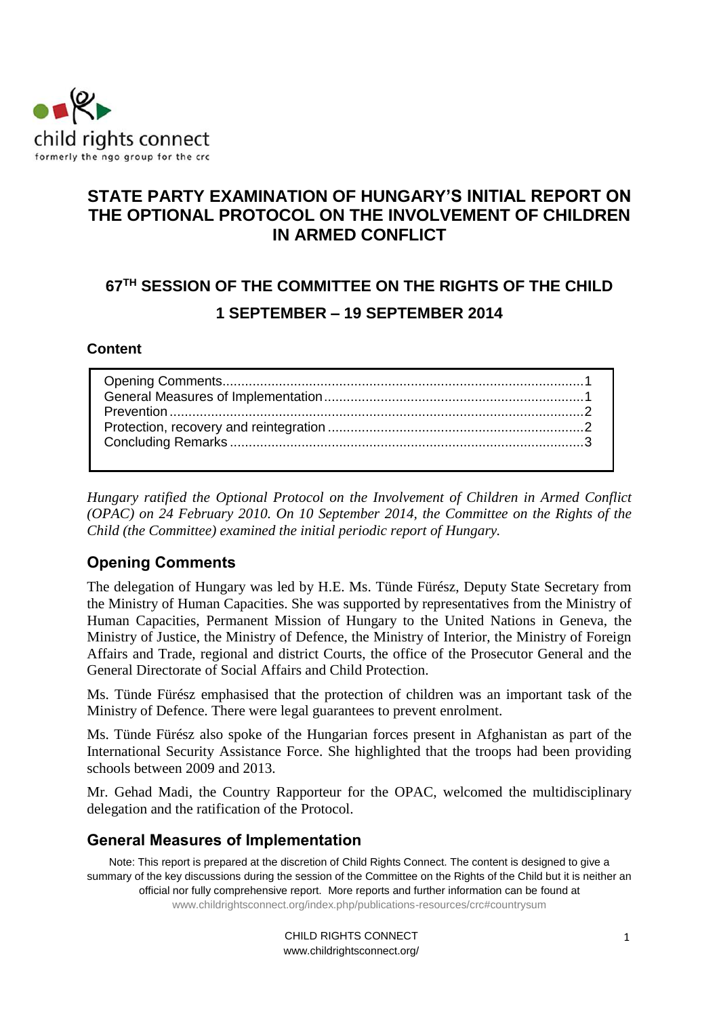

## **STATE PARTY EXAMINATION OF HUNGARY'S INITIAL REPORT ON THE OPTIONAL PROTOCOL ON THE INVOLVEMENT OF CHILDREN IN ARMED CONFLICT**

# **67 TH SESSION OF THE COMMITTEE ON THE RIGHTS OF THE CHILD 1 SEPTEMBER – 19 SEPTEMBER 2014**

#### **Content**

*Hungary ratified the Optional Protocol on the Involvement of Children in Armed Conflict (OPAC) on 24 February 2010. On 10 September 2014, the Committee on the Rights of the Child (the Committee) examined the initial periodic report of Hungary.* 

## <span id="page-0-0"></span>**Opening Comments**

The delegation of Hungary was led by H.E. Ms. Tünde Fürész, Deputy State Secretary from the Ministry of Human Capacities. She was supported by representatives from the Ministry of Human Capacities, Permanent Mission of Hungary to the United Nations in Geneva, the Ministry of Justice, the Ministry of Defence, the Ministry of Interior, the Ministry of Foreign Affairs and Trade, regional and district Courts, the office of the Prosecutor General and the General Directorate of Social Affairs and Child Protection.

Ms. Tünde Fürész emphasised that the protection of children was an important task of the Ministry of Defence. There were legal guarantees to prevent enrolment.

Ms. Tünde Fürész also spoke of the Hungarian forces present in Afghanistan as part of the International Security Assistance Force. She highlighted that the troops had been providing schools between 2009 and 2013.

Mr. Gehad Madi, the Country Rapporteur for the OPAC, welcomed the multidisciplinary delegation and the ratification of the Protocol.

#### <span id="page-0-1"></span>**General Measures of Implementation**

Note: This report is prepared at the discretion of Child Rights Connect. The content is designed to give a summary of the key discussions during the session of the Committee on the Rights of the Child but it is neither an official nor fully comprehensive report. More reports and further information can be found at [www.childrightsconnect.org/index.php/publications-resources/crc#countrysum](http://www.childrightsconnect.org/index.php/publications-resources/crc#countrysum)

> CHILD RIGHTS CONNECT www.childrightsconnect.org/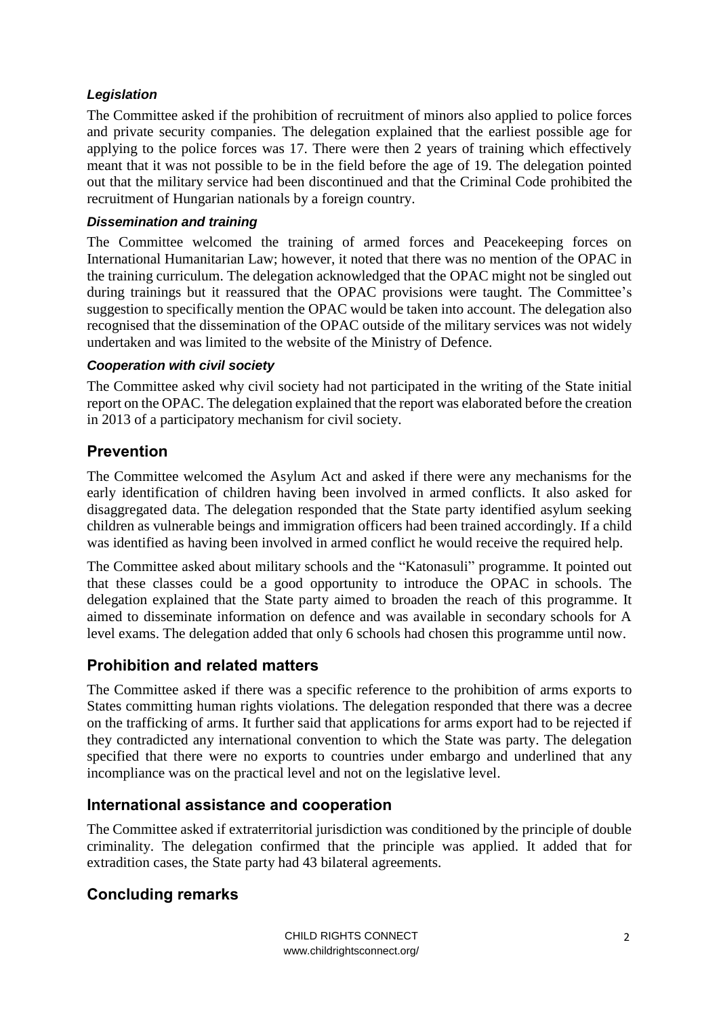#### *Legislation*

The Committee asked if the prohibition of recruitment of minors also applied to police forces and private security companies. The delegation explained that the earliest possible age for applying to the police forces was 17. There were then 2 years of training which effectively meant that it was not possible to be in the field before the age of 19. The delegation pointed out that the military service had been discontinued and that the Criminal Code prohibited the recruitment of Hungarian nationals by a foreign country.

#### *Dissemination and training*

The Committee welcomed the training of armed forces and Peacekeeping forces on International Humanitarian Law; however, it noted that there was no mention of the OPAC in the training curriculum. The delegation acknowledged that the OPAC might not be singled out during trainings but it reassured that the OPAC provisions were taught. The Committee's suggestion to specifically mention the OPAC would be taken into account. The delegation also recognised that the dissemination of the OPAC outside of the military services was not widely undertaken and was limited to the website of the Ministry of Defence.

#### *Cooperation with civil society*

The Committee asked why civil society had not participated in the writing of the State initial report on the OPAC. The delegation explained that the report was elaborated before the creation in 2013 of a participatory mechanism for civil society.

### <span id="page-1-0"></span>**Prevention**

The Committee welcomed the Asylum Act and asked if there were any mechanisms for the early identification of children having been involved in armed conflicts. It also asked for disaggregated data. The delegation responded that the State party identified asylum seeking children as vulnerable beings and immigration officers had been trained accordingly. If a child was identified as having been involved in armed conflict he would receive the required help.

The Committee asked about military schools and the "Katonasuli" programme. It pointed out that these classes could be a good opportunity to introduce the OPAC in schools. The delegation explained that the State party aimed to broaden the reach of this programme. It aimed to disseminate information on defence and was available in secondary schools for A level exams. The delegation added that only 6 schools had chosen this programme until now.

## <span id="page-1-1"></span>**Prohibition and related matters**

The Committee asked if there was a specific reference to the prohibition of arms exports to States committing human rights violations. The delegation responded that there was a decree on the trafficking of arms. It further said that applications for arms export had to be rejected if they contradicted any international convention to which the State was party. The delegation specified that there were no exports to countries under embargo and underlined that any incompliance was on the practical level and not on the legislative level.

## **International assistance and cooperation**

The Committee asked if extraterritorial jurisdiction was conditioned by the principle of double criminality. The delegation confirmed that the principle was applied. It added that for extradition cases, the State party had 43 bilateral agreements.

## **Concluding remarks**